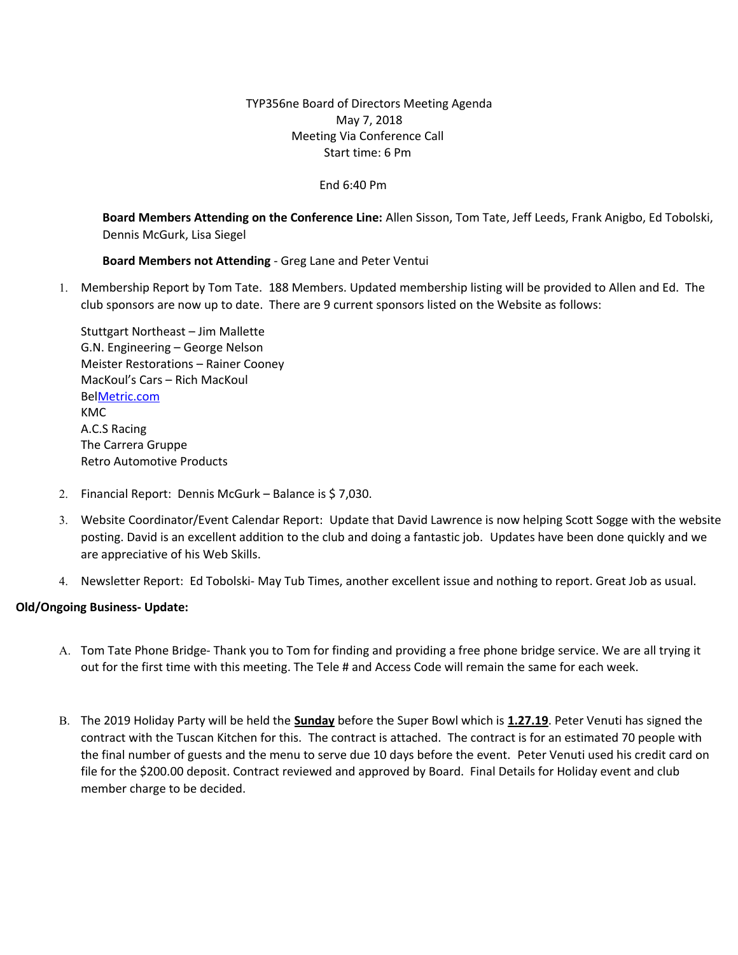# TYP356ne Board of Directors Meeting Agenda May 7, 2018 Meeting Via Conference Call Start time: 6 Pm

### End 6:40 Pm

**Board Members Attending on the Conference Line:** Allen Sisson, Tom Tate, Jeff Leeds, Frank Anigbo, Ed Tobolski, Dennis McGurk, Lisa Siegel

## **Board Members not Attending** - Greg Lane and Peter Ventui

1. Membership Report by Tom Tate. 188 Members. Updated membership listing will be provided to Allen and Ed. The club sponsors are now up to date. There are 9 current sponsors listed on the Website as follows:

Stuttgart Northeast – Jim Mallette G.N. Engineering – George Nelson Meister Restorations – Rainer Cooney MacKoul's Cars – Rich MacKoul Be[lMetric.com](http://metric.com/) KMC A.C.S Racing The Carrera Gruppe Retro Automotive Products

- 2. Financial Report: Dennis McGurk Balance is \$ 7,030.
- 3. Website Coordinator/Event Calendar Report: Update that David Lawrence is now helping Scott Sogge with the website posting. David is an excellent addition to the club and doing a fantastic job. Updates have been done quickly and we are appreciative of his Web Skills.
- 4. Newsletter Report: Ed Tobolski- May Tub Times, another excellent issue and nothing to report. Great Job as usual.

## **Old/Ongoing Business- Update:**

- A. Tom Tate Phone Bridge- Thank you to Tom for finding and providing a free phone bridge service. We are all trying it out for the first time with this meeting. The Tele # and Access Code will remain the same for each week.
- B. The 2019 Holiday Party will be held the **Sunday** before the Super Bowl which is **1.27.19**. Peter Venuti has signed the contract with the Tuscan Kitchen for this. The contract is attached. The contract is for an estimated 70 people with the final number of guests and the menu to serve due 10 days before the event. Peter Venuti used his credit card on file for the \$200.00 deposit. Contract reviewed and approved by Board. Final Details for Holiday event and club member charge to be decided.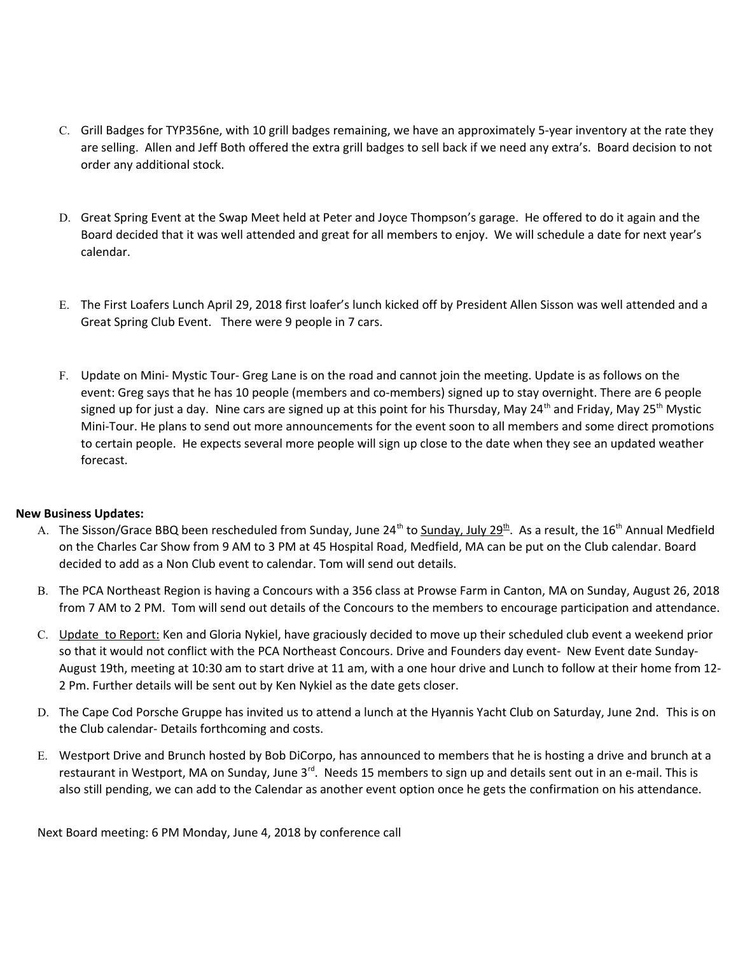- C. Grill Badges for TYP356ne, with 10 grill badges remaining, we have an approximately 5-year inventory at the rate they are selling. Allen and Jeff Both offered the extra grill badges to sell back if we need any extra's. Board decision to not order any additional stock.
- D. Great Spring Event at the Swap Meet held at Peter and Joyce Thompson's garage. He offered to do it again and the Board decided that it was well attended and great for all members to enjoy. We will schedule a date for next year's calendar.
- E. The First Loafers Lunch April 29, 2018 first loafer's lunch kicked off by President Allen Sisson was well attended and a Great Spring Club Event. There were 9 people in 7 cars.
- F. Update on Mini- Mystic Tour- Greg Lane is on the road and cannot join the meeting. Update is as follows on the event: Greg says that he has 10 people (members and co-members) signed up to stay overnight. There are 6 people signed up for just a day. Nine cars are signed up at this point for his Thursday, May 24<sup>th</sup> and Friday, May 25<sup>th</sup> Mystic Mini-Tour. He plans to send out more announcements for the event soon to all members and some direct promotions to certain people. He expects several more people will sign up close to the date when they see an updated weather forecast.

## **New Business Updates:**

- A. The Sisson/Grace BBQ been rescheduled from Sunday, June 24<sup>th</sup> to Sunday, July 29<sup>th</sup>. As a result, the 16<sup>th</sup> Annual Medfield on the Charles Car Show from 9 AM to 3 PM at 45 Hospital Road, Medfield, MA can be put on the Club calendar. Board decided to add as a Non Club event to calendar. Tom will send out details.
- B. The PCA Northeast Region is having a Concours with a 356 class at Prowse Farm in Canton, MA on Sunday, August 26, 2018 from 7 AM to 2 PM. Tom will send out details of the Concours to the members to encourage participation and attendance.
- C. Update to Report: Ken and Gloria Nykiel, have graciously decided to move up their scheduled club event a weekend prior so that it would not conflict with the PCA Northeast Concours. Drive and Founders day event- New Event date Sunday-August 19th, meeting at 10:30 am to start drive at 11 am, with a one hour drive and Lunch to follow at their home from 12- 2 Pm. Further details will be sent out by Ken Nykiel as the date gets closer.
- D. The Cape Cod Porsche Gruppe has invited us to attend a lunch at the Hyannis Yacht Club on Saturday, June 2nd. This is on the Club calendar- Details forthcoming and costs.
- E. Westport Drive and Brunch hosted by Bob DiCorpo, has announced to members that he is hosting a drive and brunch at a restaurant in Westport, MA on Sunday, June 3<sup>rd</sup>. Needs 15 members to sign up and details sent out in an e-mail. This is also still pending, we can add to the Calendar as another event option once he gets the confirmation on his attendance.

Next Board meeting: 6 PM Monday, June 4, 2018 by conference call